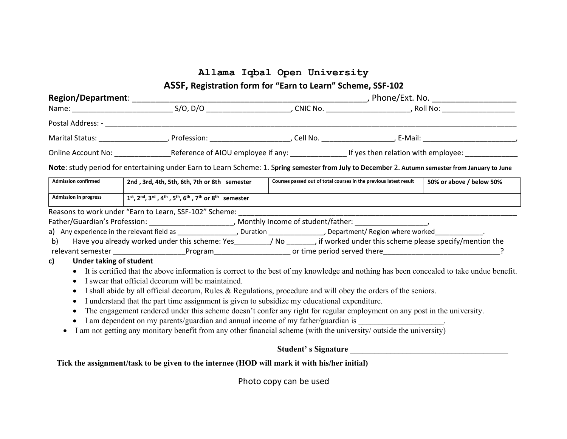## Allama Iqbal Open University

ASSF, Registration form for "Earn to Learn" Scheme, SSF-102

|                                                                                         | Online Account No: _______________Reference of AIOU employee if any: __________________If yes then relation with employee: ____________                                                                                                                                                                                                                                                                                                                                                                                                                                                                                                                                                                                                                                                                                                                                                                                                                                                                                                                                                                                                                                                                                                                    |                     |                                                                   |                          |  |
|-----------------------------------------------------------------------------------------|------------------------------------------------------------------------------------------------------------------------------------------------------------------------------------------------------------------------------------------------------------------------------------------------------------------------------------------------------------------------------------------------------------------------------------------------------------------------------------------------------------------------------------------------------------------------------------------------------------------------------------------------------------------------------------------------------------------------------------------------------------------------------------------------------------------------------------------------------------------------------------------------------------------------------------------------------------------------------------------------------------------------------------------------------------------------------------------------------------------------------------------------------------------------------------------------------------------------------------------------------------|---------------------|-------------------------------------------------------------------|--------------------------|--|
|                                                                                         | Note: study period for entertaining under Earn to Learn Scheme: 1. Spring semester from July to December 2. Autumn semester from January to June                                                                                                                                                                                                                                                                                                                                                                                                                                                                                                                                                                                                                                                                                                                                                                                                                                                                                                                                                                                                                                                                                                           |                     |                                                                   |                          |  |
| <b>Admission confirmed</b>                                                              | 2nd, 3rd, 4th, 5th, 6th, 7th or 8th semester                                                                                                                                                                                                                                                                                                                                                                                                                                                                                                                                                                                                                                                                                                                                                                                                                                                                                                                                                                                                                                                                                                                                                                                                               |                     | Courses passed out of total courses in the previous latest result | 50% or above / below 50% |  |
| <b>Admission in progress</b>                                                            | $1^{st}$ , 2 <sup>nd</sup> , 3 <sup>rd</sup> , 4 <sup>th</sup> , 5 <sup>th</sup> , 6 <sup>th</sup> , 7 <sup>th</sup> or 8 <sup>th</sup> semester                                                                                                                                                                                                                                                                                                                                                                                                                                                                                                                                                                                                                                                                                                                                                                                                                                                                                                                                                                                                                                                                                                           |                     |                                                                   |                          |  |
| b)<br>c)<br>Under taking of student<br>$\bullet$<br>$\bullet$<br>$\bullet$<br>$\bullet$ | Reasons to work under "Earn to Learn, SSF-102" Scheme: ______________<br>Father/Guardian's Profession: ___________________________, Monthly Income of student/father: _______________________<br>a) Any experience in the relevant field as _____________________, Duration _______________, Department/ Region where worked_______________.<br>Have you already worked under this scheme: Yes________/ No _______, if worked under this scheme please specify/mention the<br>• It is certified that the above information is correct to the best of my knowledge and nothing has been concealed to take undue benefit.<br>I swear that official decorum will be maintained.<br>I shall abide by all official decorum, Rules & Regulations, procedure and will obey the orders of the seniors.<br>I understand that the part time assignment is given to subsidize my educational expenditure.<br>The engagement rendered under this scheme doesn't confer any right for regular employment on any post in the university.<br>I am dependent on my parents/guardian and annual income of my father/guardian is ___________________.<br>I am not getting any monitory benefit from any other financial scheme (with the university/ outside the university) |                     |                                                                   |                          |  |
|                                                                                         |                                                                                                                                                                                                                                                                                                                                                                                                                                                                                                                                                                                                                                                                                                                                                                                                                                                                                                                                                                                                                                                                                                                                                                                                                                                            | Student's Signature |                                                                   |                          |  |

Tick the assignment/task to be given to the internee (HOD will mark it with his/her initial)

Photo copy can be used